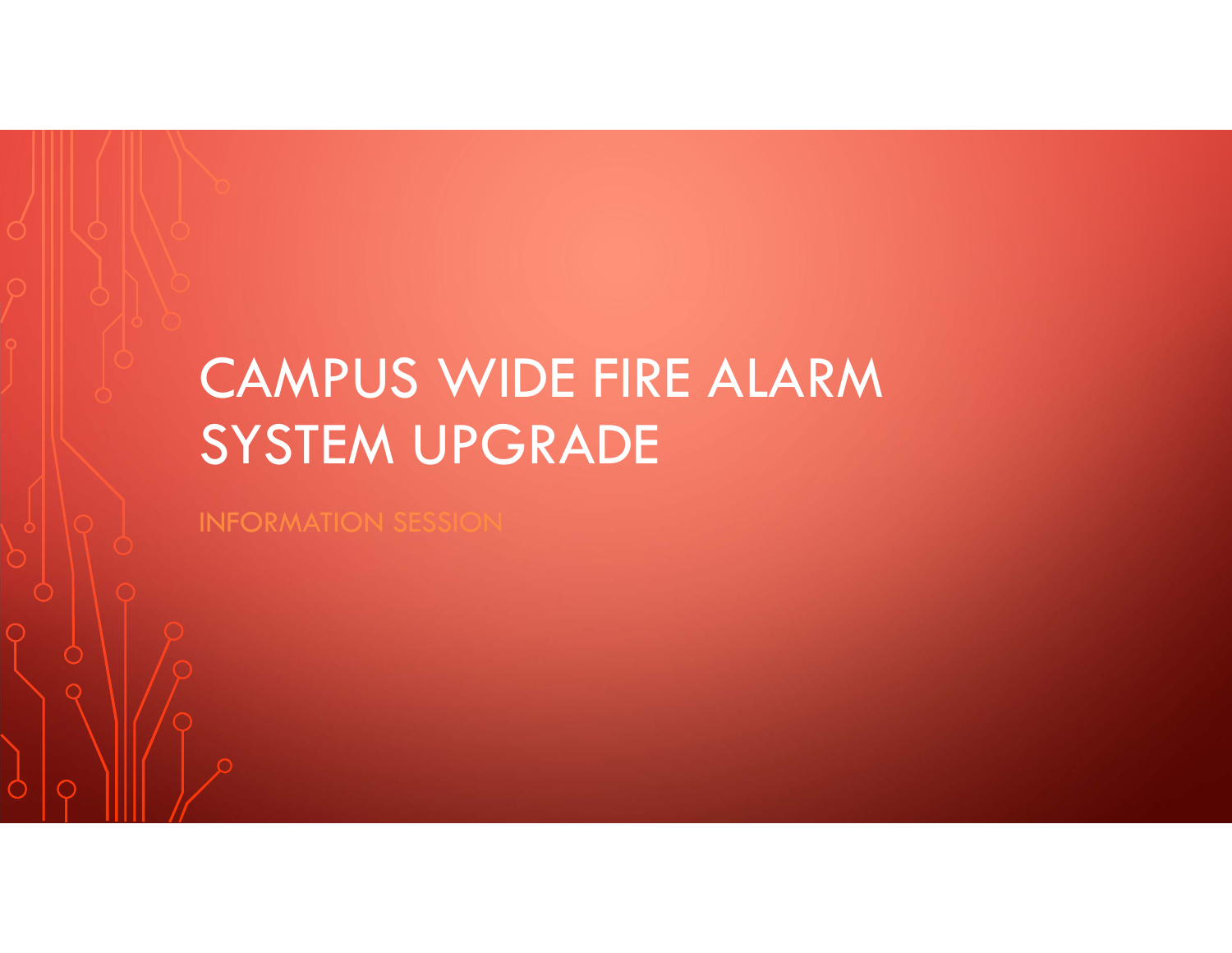# CAMPUS WIDE FIRE ALARM SYSTEM UPGRADE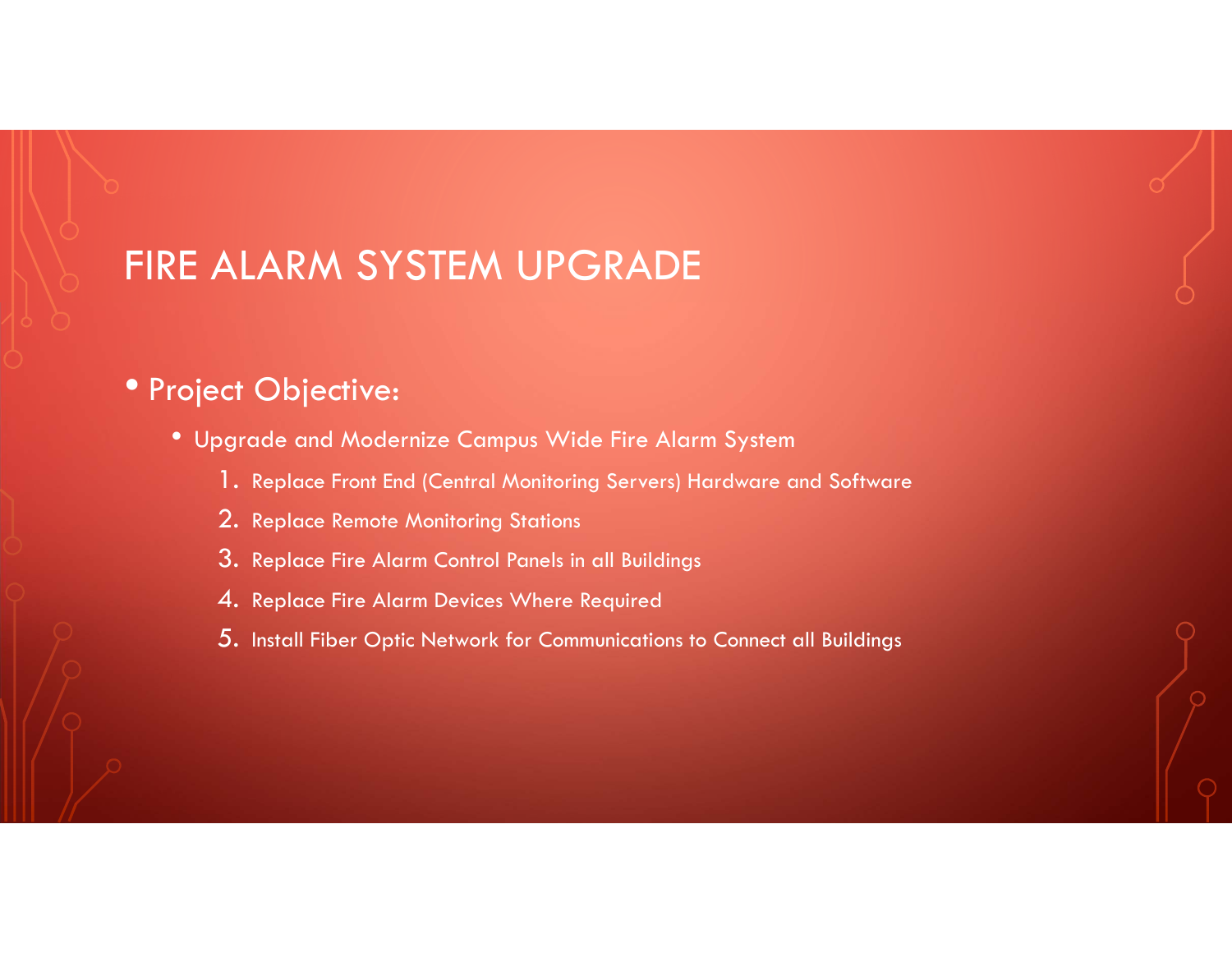#### • Project Objective:

- Upgrade and Modernize Campus Wide Fire Alarm System
	- 1. Replace Front End (Central Monitoring Servers) Hardware and Software
	- $2.\,$  Replace Remote Monitoring Stations
	- 3. Replace Fire Alarm Control Panels in all Buildings
	- $\boldsymbol{4.}$  Replace Fire Alarm Devices Where Required
	- 5. Install Fiber Optic Network for Communications to Connect all Buildings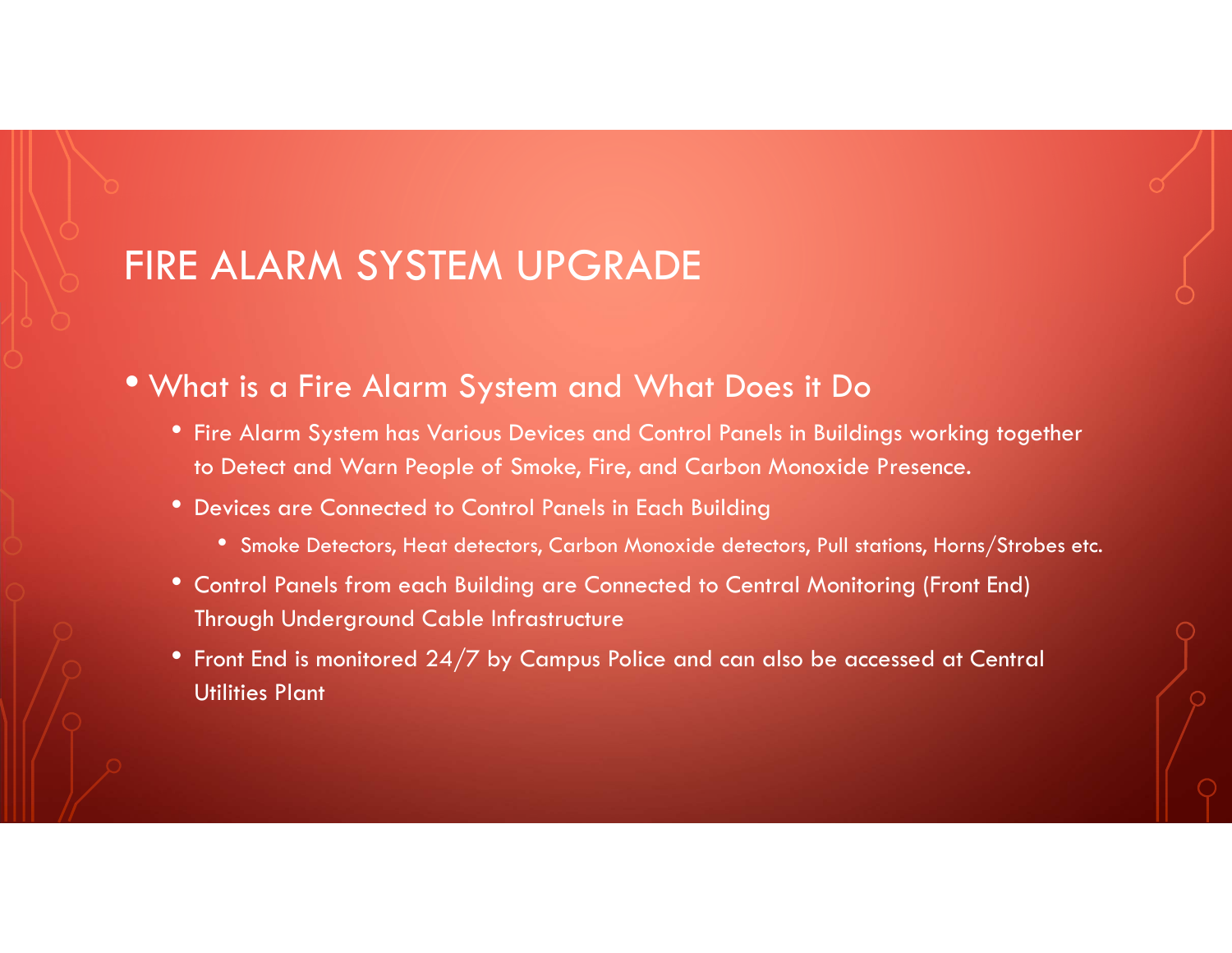#### • What is a Fire Alarm System and What Does it Do

- Fire Alarm System has Various Devices and Control Panels in Buildings working together to Detect and Warn People of Smoke, Fire, and Carbon Monoxide Presence.
- Devices are Connected to Control Panels in Each Building
	- Smoke Detectors, Heat detectors, Carbon Monoxide detectors, Pull stations, Horns/Strobes etc.
- Control Panels from each Building are Connected to Central Monitoring (Front End) Through Underground Cable Infrastructure
- $\bullet$  Front End is monitored 24/7 by Campus Police and can also be accessed at Central Utilities Plant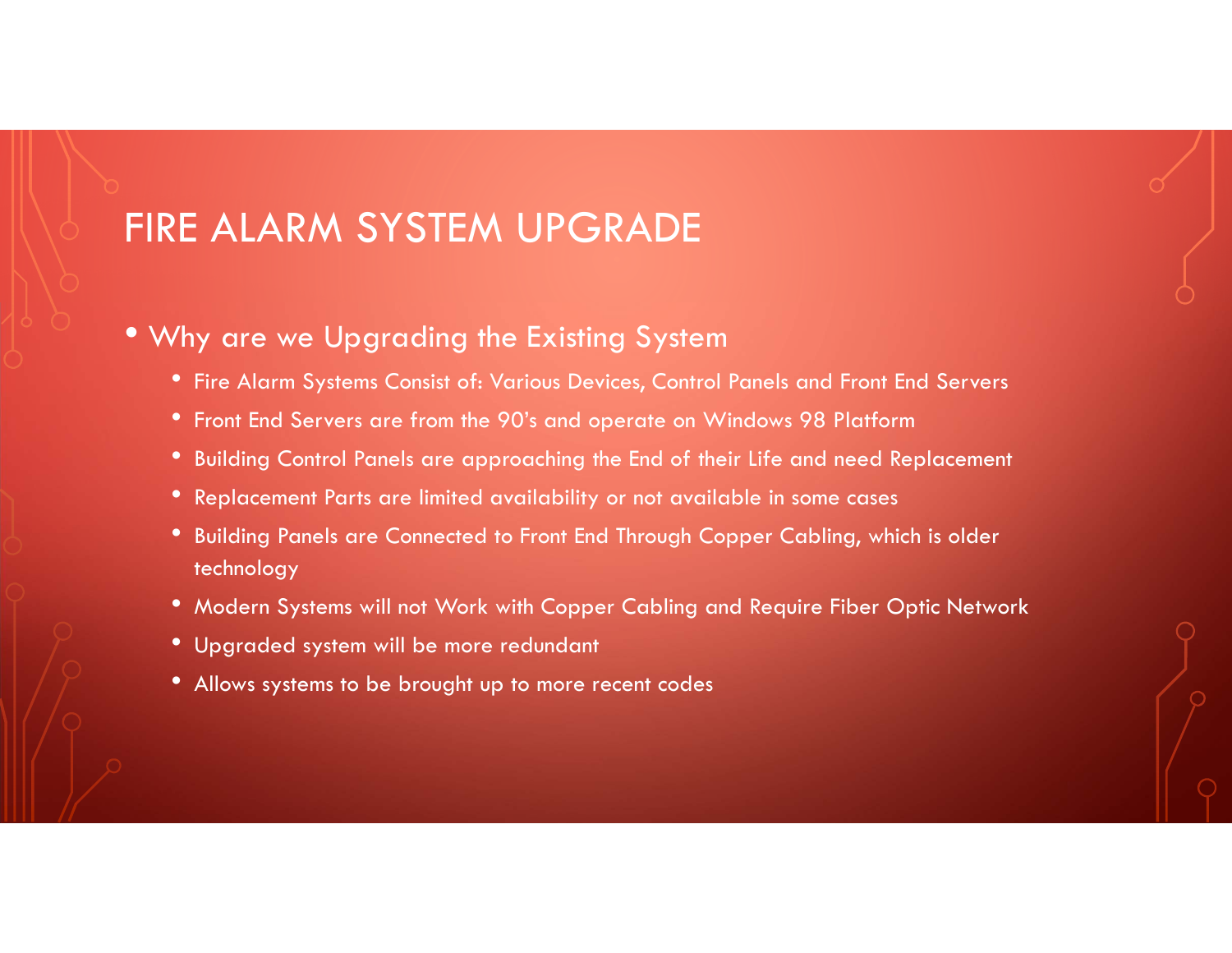#### • Why are we Upgrading the Existing System

- Fire Alarm Systems Consist of: Various Devices, Control Panels and Front End Servers
- Front End Servers are from the 90's and operate on Windows 98 Platform
- Building Control Panels are approaching the End of their Life and need Replacement
- Replacement Parts are limited availability or not available in some cases
- Building Panels are Connected to Front End Through Copper Cabling, which is older technology
- Modern Systems will not Work with Copper Cabling and Require Fiber Optic Network
- Upgraded system will be more redundant
- Allows systems to be brought up to more recent codes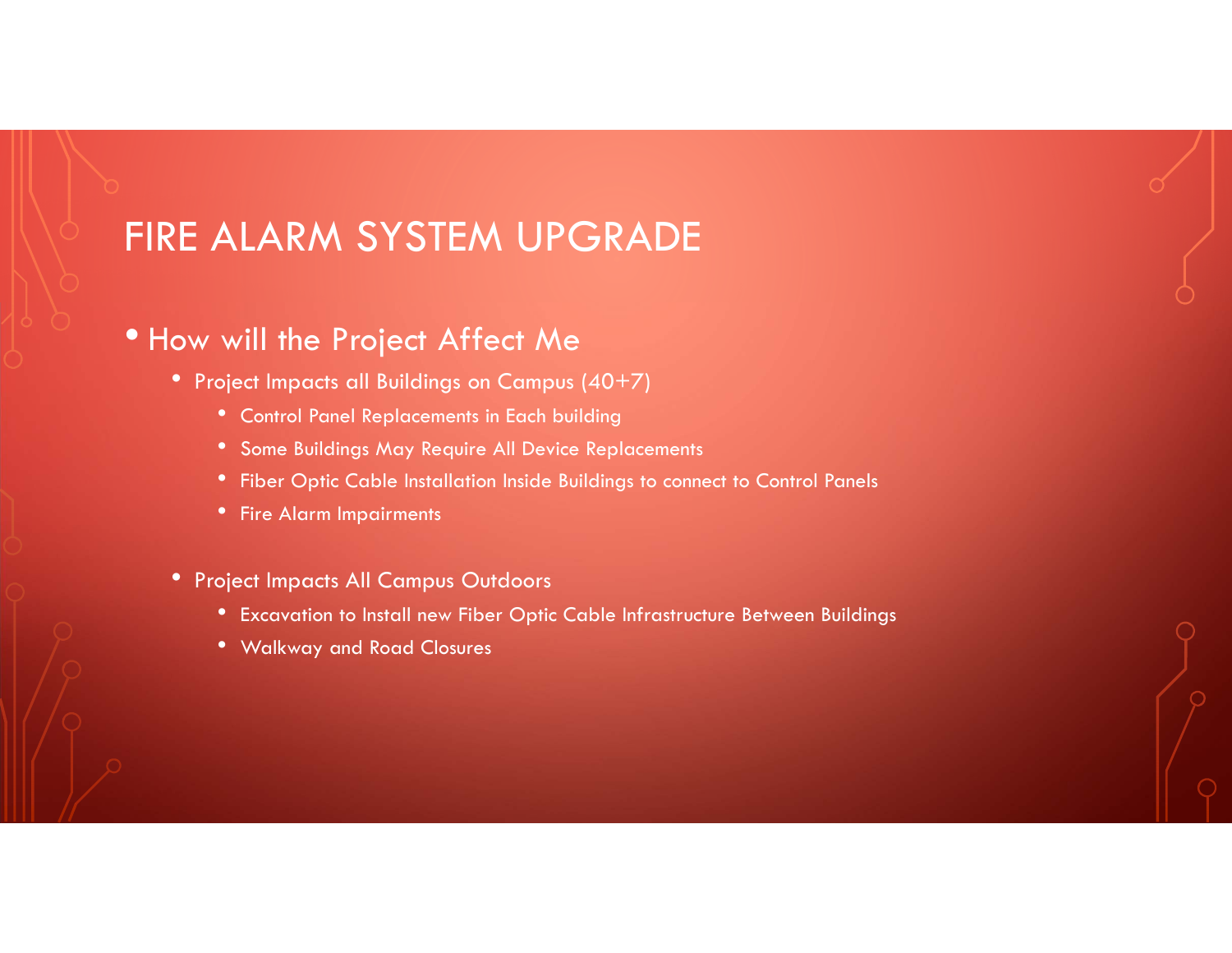#### • How will the Project Affect Me

- Project Impacts all Buildings on Campus (40+7)
	- Control Panel Replacements in Each building
	- Some Buildings May Require All Device Replacements
	- Fiber Optic Cable Installation Inside Buildings to connect to Control Panels
	- Fire Alarm Impairments
- Project Impacts All Campus Outdoors
	- Excavation to Install new Fiber Optic Cable Infrastructure Between Buildings
	- Walkway and Road Closures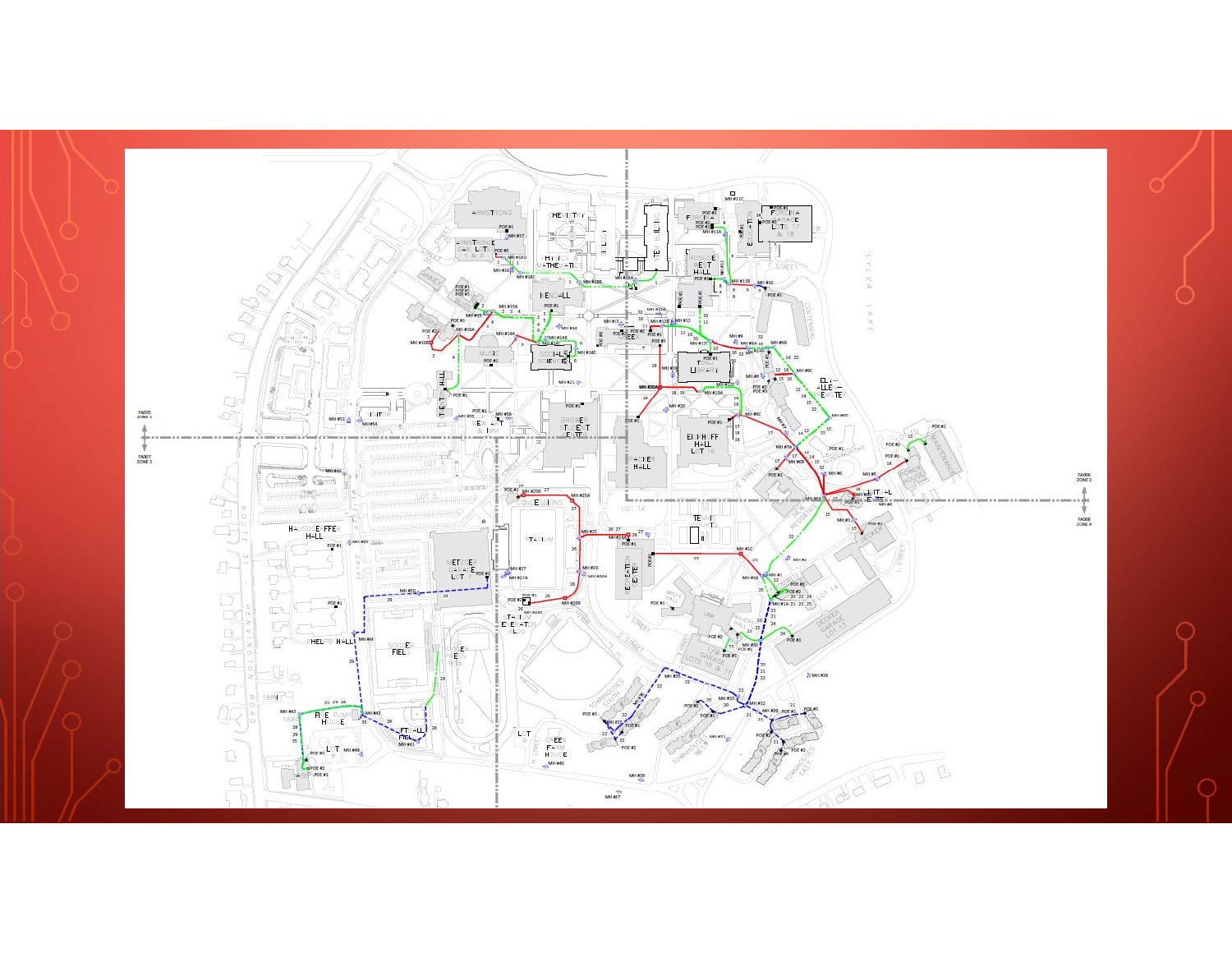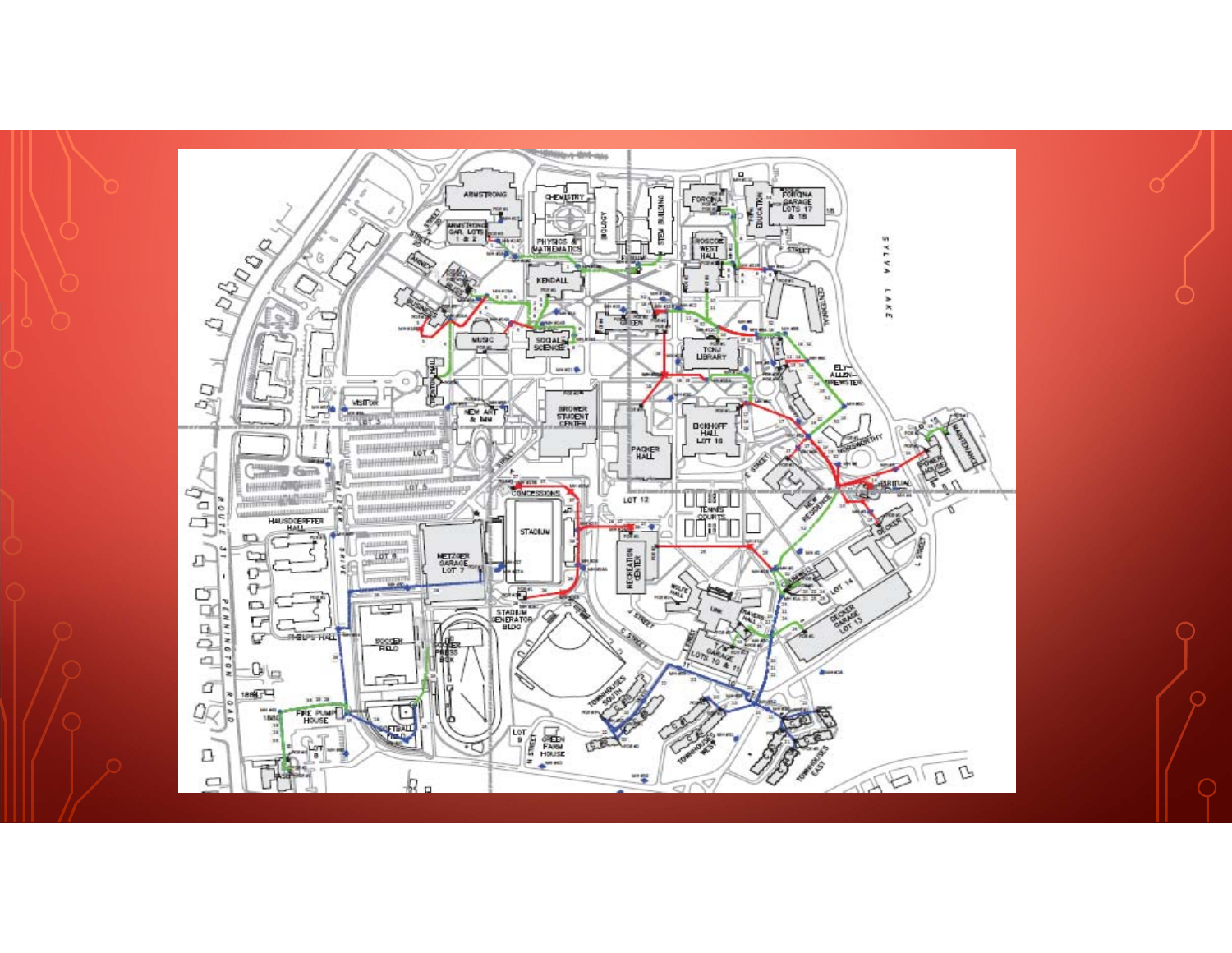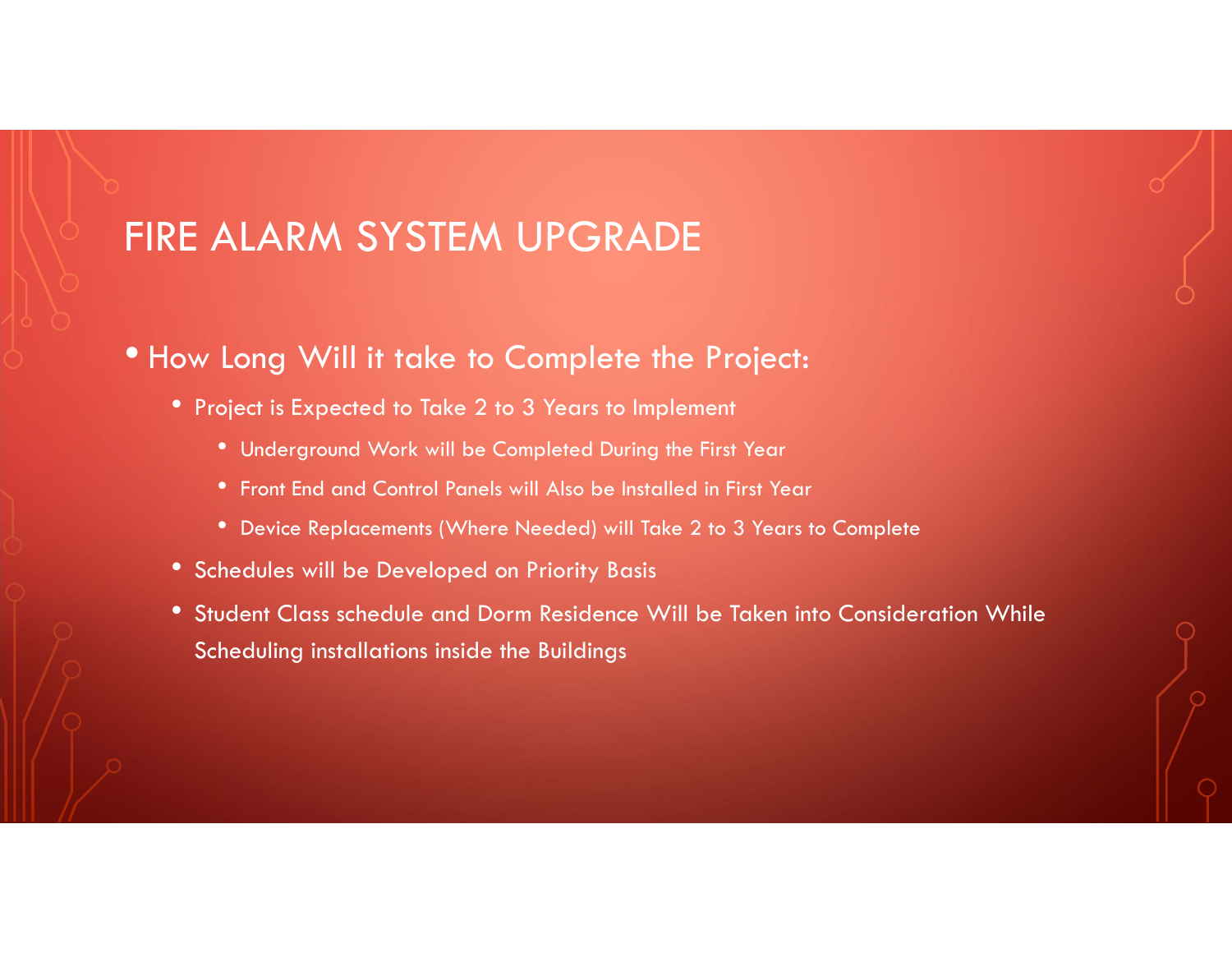#### • How Long Will it take to Complete the Project:

- Project is Expected to Take 2 to 3 Years to Implement
	- Underground Work will be Completed During the First Year
	- Front End and Control Panels will Also be Installed in First Year
	- Device Replacements (Where Needed) will Take 2 to 3 Years to Complete
- Schedules will be Developed on Priority Basis
- Student Class schedule and Dorm Residence Will be Taken into Consideration While Scheduling installations inside the Buildings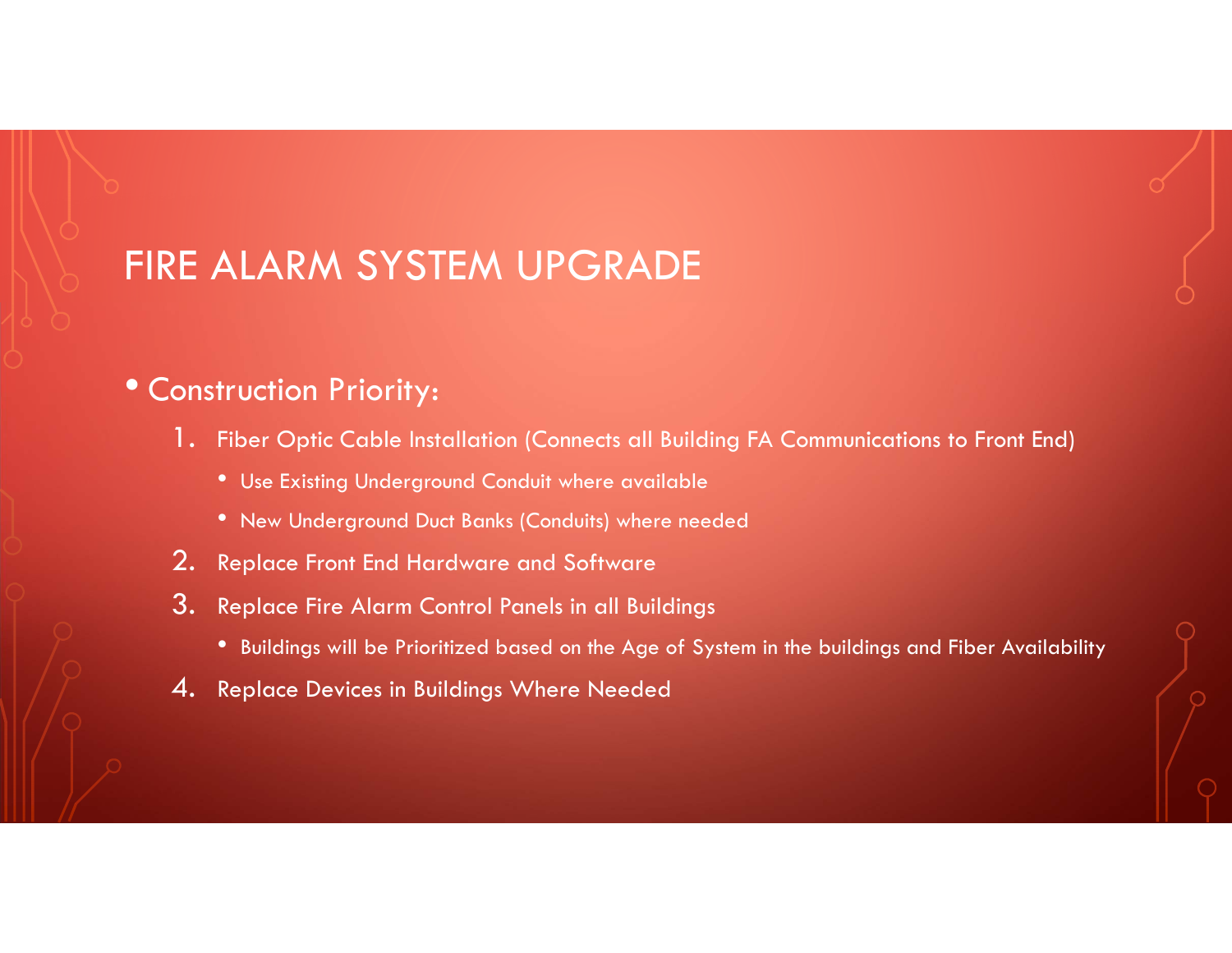#### • Construction Priority:

- 1. Fiber Optic Cable Installation (Connects all Building FA Communications to Front End)
	- Use Existing Underground Conduit where available
	- New Underground Duct Banks (Conduits) where needed
- $\boldsymbol{2.}\;$  Replace Front End Hardware and Software
- 3. Replace Fire Alarm Control Panels in all Buildings
	- Buildings will be Prioritized based on the Age of System in the buildings and Fiber Availability
- $\boldsymbol{4.}\;$  Replace Devices in Buildings Where Needed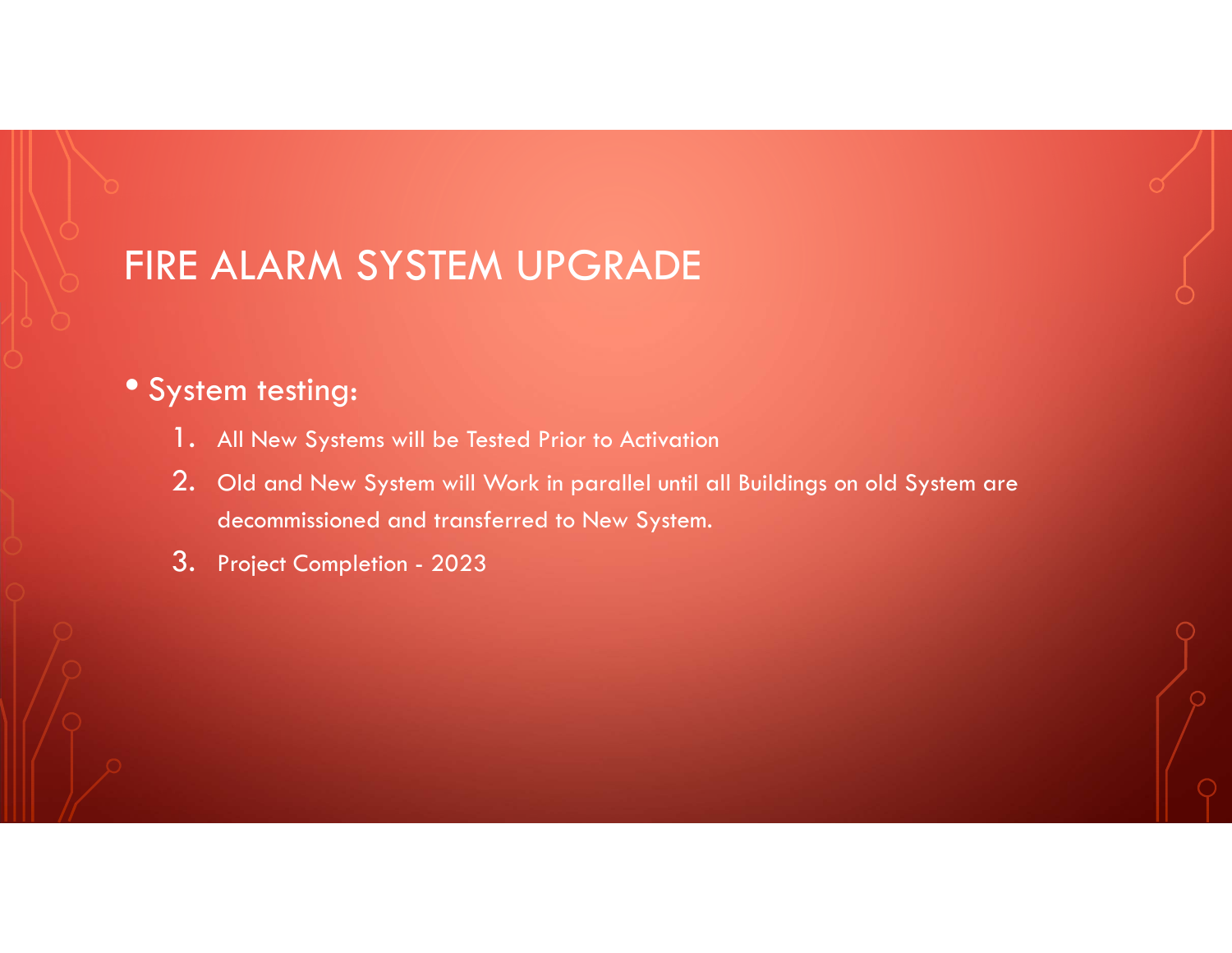#### • System testing:

- 1. All New Systems will be Tested Prior to Activation
- $2.\;\;$  Old and New System will Work in parallel until all Buildings on old System are decommissioned and transferred to New System.
- 3. Project Completion <sup>2023</sup>